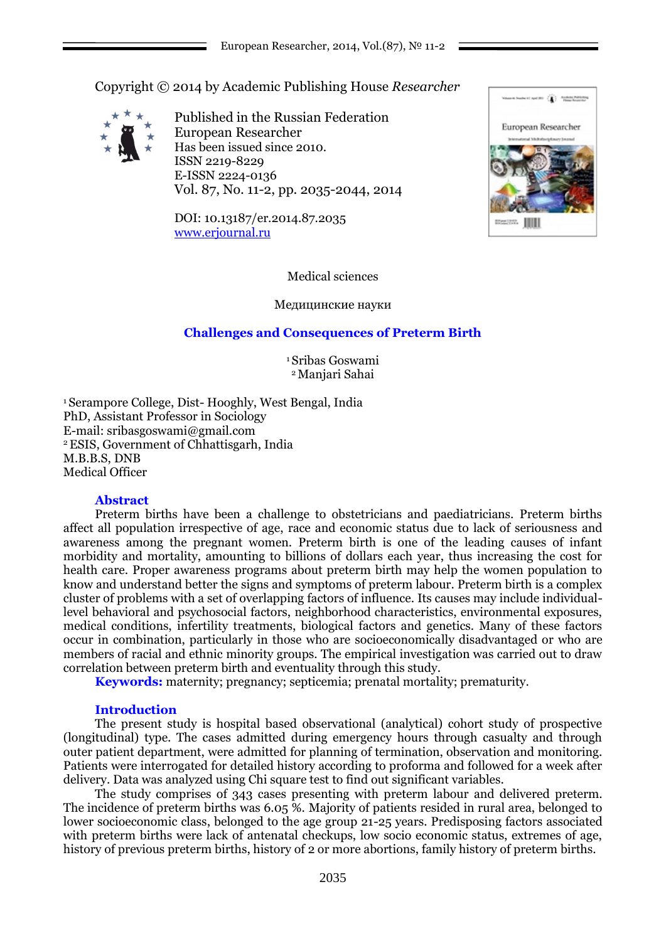Copyright © 2014 by Academic Publishing House *Researcher*



Published in the Russian Federation European Researcher Has been issued since 2010. ISSN 2219-8229 E-ISSN 2224-0136 Vol. 87, No. 11-2, pp. 2035-2044, 2014

DOI: 10.13187/er.2014.87.2035 [www.erjournal.ru](http://www.erjournal.ru/)



Medical sciences

Медицинские науки

#### **Challenges and Consequences of Preterm Birth**

<sup>1</sup>Sribas Goswami <sup>2</sup>Manjari Sahai

<sup>1</sup>Serampore College, Dist- Hooghly, West Bengal, India PhD, Assistant Professor in Sociology E-mail[: sribasgoswami@gmail.com](mailto:sribasgoswami@gmail.com) <sup>2</sup>ESIS, Government of Chhattisgarh, India M.B.B.S, DNB Medical Officer

## **Abstract**

Preterm births have been a challenge to obstetricians and paediatricians. Preterm births affect all population irrespective of age, race and economic status due to lack of seriousness and awareness among the pregnant women. Preterm birth is one of the leading causes of infant morbidity and mortality, amounting to billions of dollars each year, thus increasing the cost for health care. Proper awareness programs about preterm birth may help the women population to know and understand better the signs and symptoms of preterm labour. Preterm birth is a complex cluster of problems with a set of overlapping factors of influence. Its causes may include individuallevel behavioral and psychosocial factors, neighborhood characteristics, environmental exposures, medical conditions, infertility treatments, biological factors and genetics. Many of these factors occur in combination, particularly in those who are socioeconomically disadvantaged or who are members of racial and ethnic minority groups. The empirical investigation was carried out to draw correlation between preterm birth and eventuality through this study.

**Keywords:** maternity; pregnancy; septicemia; prenatal mortality; prematurity.

#### **Introduction**

The present study is hospital based observational (analytical) cohort study of prospective (longitudinal) type. The cases admitted during emergency hours through casualty and through outer patient department, were admitted for planning of termination, observation and monitoring. Patients were interrogated for detailed history according to proforma and followed for a week after delivery. Data was analyzed using Chi square test to find out significant variables.

The study comprises of 343 cases presenting with preterm labour and delivered preterm. The incidence of preterm births was 6.05 %. Majority of patients resided in rural area, belonged to lower socioeconomic class, belonged to the age group 21-25 years. Predisposing factors associated with preterm births were lack of antenatal checkups, low socio economic status, extremes of age, history of previous preterm births, history of 2 or more abortions, family history of preterm births.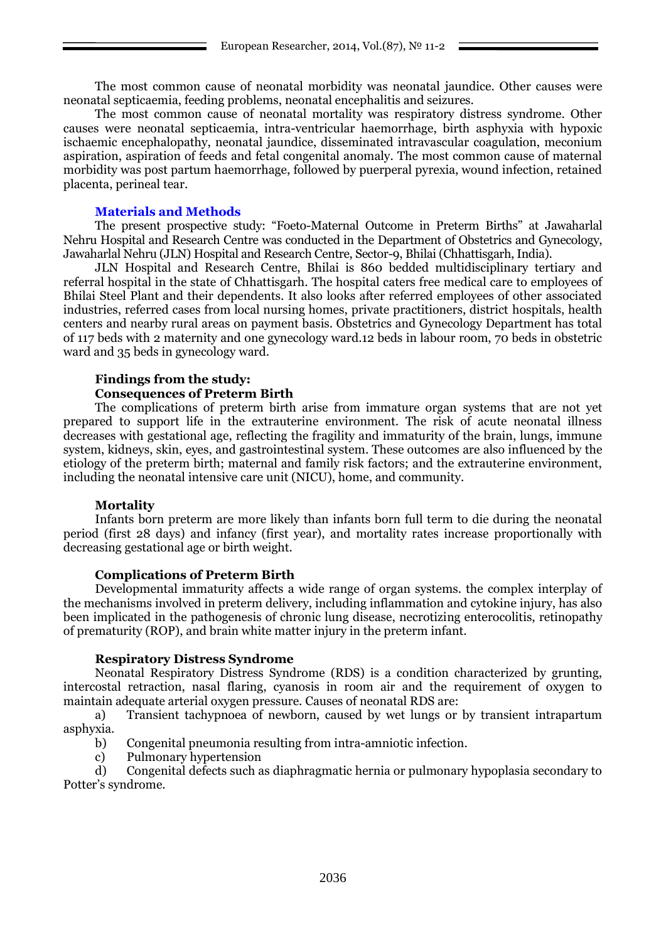The most common cause of neonatal morbidity was neonatal jaundice. Other causes were neonatal septicaemia, feeding problems, neonatal encephalitis and seizures.

The most common cause of neonatal mortality was respiratory distress syndrome. Other causes were neonatal septicaemia, intra-ventricular haemorrhage, birth asphyxia with hypoxic ischaemic encephalopathy, neonatal jaundice, disseminated intravascular coagulation, meconium aspiration, aspiration of feeds and fetal congenital anomaly. The most common cause of maternal morbidity was post partum haemorrhage, followed by puerperal pyrexia, wound infection, retained placenta, perineal tear.

## **Materials and Methods**

The present prospective study: "Foeto-Maternal Outcome in Preterm Births" at Jawaharlal Nehru Hospital and Research Centre was conducted in the Department of Obstetrics and Gynecology, Jawaharlal Nehru (JLN) Hospital and Research Centre, Sector-9, Bhilai (Chhattisgarh, India).

JLN Hospital and Research Centre, Bhilai is 860 bedded multidisciplinary tertiary and referral hospital in the state of Chhattisgarh. The hospital caters free medical care to employees of Bhilai Steel Plant and their dependents. It also looks after referred employees of other associated industries, referred cases from local nursing homes, private practitioners, district hospitals, health centers and nearby rural areas on payment basis. Obstetrics and Gynecology Department has total of 117 beds with 2 maternity and one gynecology ward.12 beds in labour room, 70 beds in obstetric ward and 35 beds in gynecology ward.

# **Findings from the study:**

### **Consequences of Preterm Birth**

The complications of preterm birth arise from immature organ systems that are not yet prepared to support life in the extrauterine environment. The risk of acute neonatal illness decreases with gestational age, reflecting the fragility and immaturity of the brain, lungs, immune system, kidneys, skin, eyes, and gastrointestinal system. These outcomes are also influenced by the etiology of the preterm birth; maternal and family risk factors; and the extrauterine environment, including the neonatal intensive care unit (NICU), home, and community.

### **Mortality**

Infants born preterm are more likely than infants born full term to die during the neonatal period (first 28 days) and infancy (first year), and mortality rates increase proportionally with decreasing gestational age or birth weight.

### **Complications of Preterm Birth**

Developmental immaturity affects a wide range of organ systems. the complex interplay of the mechanisms involved in preterm delivery, including inflammation and cytokine injury, has also been implicated in the pathogenesis of chronic lung disease, necrotizing enterocolitis, retinopathy of prematurity (ROP), and brain white matter injury in the preterm infant.

### **Respiratory Distress Syndrome**

Neonatal Respiratory Distress Syndrome (RDS) is a condition characterized by grunting, intercostal retraction, nasal flaring, cyanosis in room air and the requirement of oxygen to maintain adequate arterial oxygen pressure. Causes of neonatal RDS are:

a) Transient tachypnoea of newborn, caused by wet lungs or by transient intrapartum asphyxia.

b) Congenital pneumonia resulting from intra-amniotic infection.

c) Pulmonary hypertension

d) Congenital defects such as diaphragmatic hernia or pulmonary hypoplasia secondary to Potter's syndrome.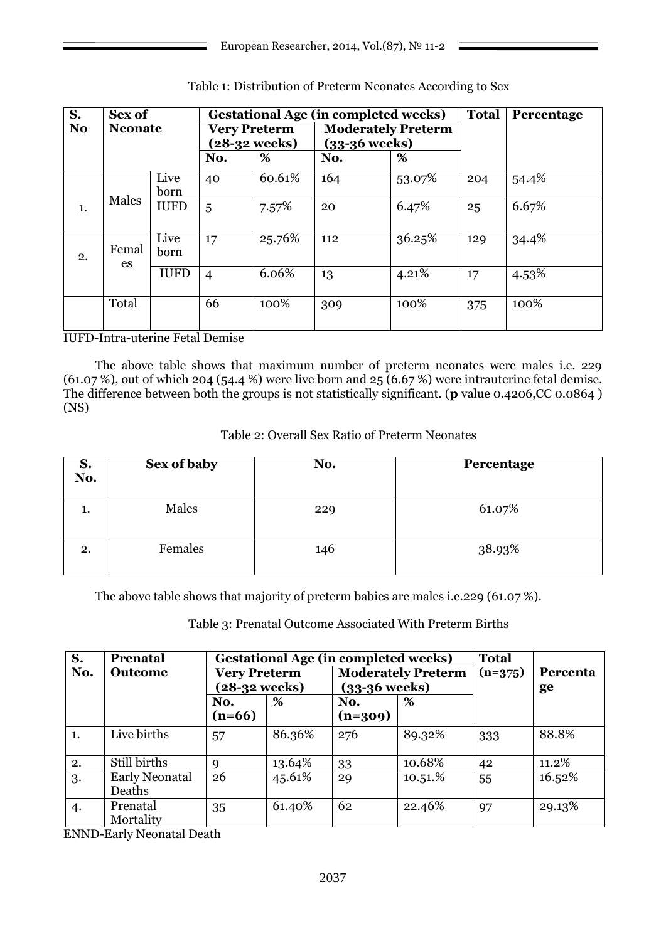| S.             | Sex of         |              |                                        | <b>Gestational Age (in completed weeks)</b> |                                            |        | <b>Total</b> | Percentage |
|----------------|----------------|--------------|----------------------------------------|---------------------------------------------|--------------------------------------------|--------|--------------|------------|
| N <sub>0</sub> | <b>Neonate</b> |              | <b>Very Preterm</b><br>$(28-32$ weeks) |                                             | <b>Moderately Preterm</b><br>(33-36 weeks) |        |              |            |
|                |                |              | No.                                    | %                                           | No.                                        | %      |              |            |
|                |                | Live<br>born | 40                                     | 60.61%                                      | 164                                        | 53.07% | 204          | 54.4%      |
| 1.             | Males          | <b>IUFD</b>  | 5                                      | 7.57%                                       | 20                                         | 6.47%  | 25           | 6.67%      |
| 2.             | Femal<br>es    | Live<br>born | 17                                     | 25.76%                                      | 112                                        | 36.25% | 129          | 34.4%      |
|                |                | <b>IUFD</b>  | $\overline{4}$                         | 6.06%                                       | 13                                         | 4.21%  | 17           | 4.53%      |
|                | Total          |              | 66                                     | 100%                                        | 309                                        | 100%   | 375          | 100%       |

# Table 1: Distribution of Preterm Neonates According to Sex

IUFD-Intra-uterine Fetal Demise

The above table shows that maximum number of preterm neonates were males i.e. 229 (61.07 %), out of which 204 (54.4 %) were live born and  $25(6.67%)$  were intrauterine fetal demise. The difference between both the groups is not statistically significant. (**p** value 0.4206,CC 0.0864 ) (NS)

### Table 2: Overall Sex Ratio of Preterm Neonates

| S.<br>No. | Sex of baby | No. | Percentage |
|-----------|-------------|-----|------------|
| 1.        | Males       | 229 | 61.07%     |
| 2.        | Females     | 146 | 38.93%     |

The above table shows that majority of preterm babies are males i.e.229 (61.07 %).

Table 3: Prenatal Outcome Associated With Preterm Births

| S.  | <b>Prenatal</b>       |                     | <b>Gestational Age (in completed weeks)</b> | <b>Total</b>  |                           |           |          |
|-----|-----------------------|---------------------|---------------------------------------------|---------------|---------------------------|-----------|----------|
| No. | <b>Outcome</b>        | <b>Very Preterm</b> |                                             |               | <b>Moderately Preterm</b> | $(n=375)$ | Percenta |
|     |                       | (28-32 weeks)       |                                             | (33-36 weeks) |                           |           | ge       |
|     |                       | No.                 | %                                           | No.           | %                         |           |          |
|     |                       | $(n=66)$            |                                             | $(n=309)$     |                           |           |          |
| 1.  | Live births           | 57                  | 86.36%                                      | 276           | 89.32%                    | 333       | 88.8%    |
| 2.  | Still births          | q                   | 13.64%                                      | 33            | 10.68%                    | 42        | 11.2%    |
| 3.  | <b>Early Neonatal</b> | 26                  | 45.61%                                      | 29            | 10.51%                    | 55        | 16.52%   |
|     | Deaths                |                     |                                             |               |                           |           |          |
| 4.  | Prenatal              | 35                  | 61.40%                                      | 62            | 22.46%                    | 97        | 29.13%   |
|     | Mortality             |                     |                                             |               |                           |           |          |

ENND-Early Neonatal Death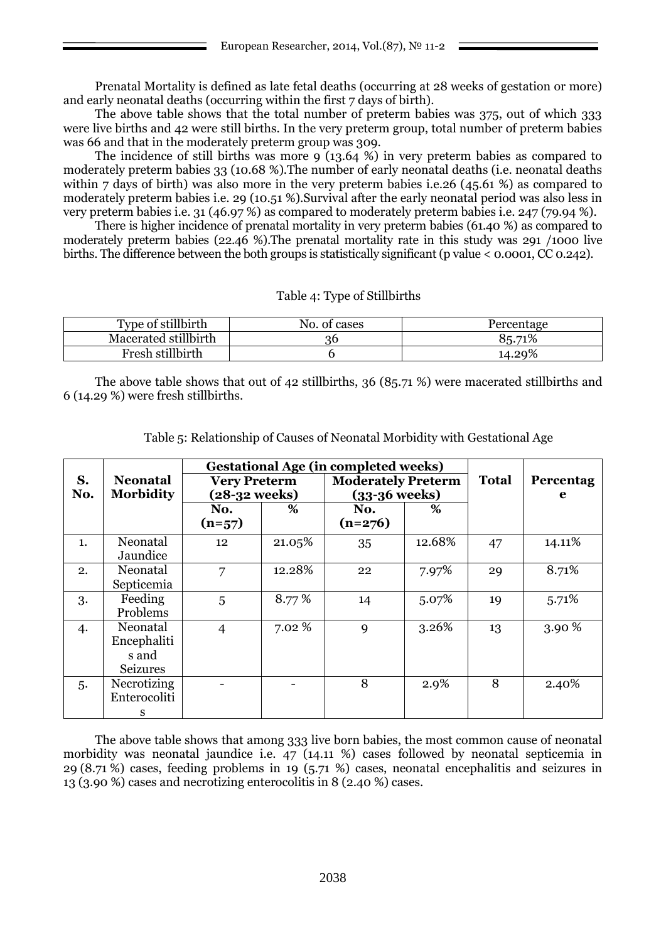Prenatal Mortality is defined as late fetal deaths (occurring at 28 weeks of gestation or more) and early neonatal deaths (occurring within the first 7 days of birth).

The above table shows that the total number of preterm babies was 375, out of which 333 were live births and 42 were still births. In the very preterm group, total number of preterm babies was 66 and that in the moderately preterm group was 309.

The incidence of still births was more 9  $(13.64\%)$  in very preterm babies as compared to moderately preterm babies 33 (10.68 %).The number of early neonatal deaths (i.e. neonatal deaths within 7 days of birth) was also more in the very preterm babies i.e. 26 (45.61 %) as compared to moderately preterm babies i.e. 29 (10.51 %).Survival after the early neonatal period was also less in very preterm babies i.e. 31 (46.97 %) as compared to moderately preterm babies i.e. 247 (79.94 %).

There is higher incidence of prenatal mortality in very preterm babies (61.40 %) as compared to moderately preterm babies (22.46 %).The prenatal mortality rate in this study was 291 /1000 live births. The difference between the both groups is statistically significant (p value < 0.0001, CC 0.242).

|  |  | Table 4: Type of Stillbirths |
|--|--|------------------------------|
|--|--|------------------------------|

| Type of stillbirth   | No. of cases | Percentage |
|----------------------|--------------|------------|
| Macerated stillbirth | 36           | 85.71%     |
| Fresh stillbirth     |              | 14.29%     |

The above table shows that out of 42 stillbirths, 36 (85.71 %) were macerated stillbirths and 6 (14.29 %) were fresh stillbirths.

|                |                                                     | <b>Gestational Age (in completed weeks)</b>    |        |                  |                                              |    |                |
|----------------|-----------------------------------------------------|------------------------------------------------|--------|------------------|----------------------------------------------|----|----------------|
| S.<br>No.      | <b>Neonatal</b><br><b>Morbidity</b>                 | <b>Very Preterm</b><br>$(28-32 \text{ weeks})$ |        |                  | <b>Moderately Preterm</b><br>$(33-36$ weeks) |    | Percentag<br>e |
|                |                                                     | No.<br>$(n=57)$                                | %      | No.<br>$(n=276)$ | $\%$                                         |    |                |
| $\mathbf{1}$ . | Neonatal<br>Jaundice                                | 12                                             | 21.05% | 35               | 12.68%                                       | 47 | 14.11%         |
| 2.             | Neonatal<br>Septicemia                              | 7                                              | 12.28% | 22               | 7.97%                                        | 29 | 8.71%          |
| 3.             | Feeding<br>Problems                                 | 5                                              | 8.77%  | 14               | 5.07%                                        | 19 | 5.71%          |
| 4.             | Neonatal<br>Encephaliti<br>s and<br><b>Seizures</b> | $\overline{4}$                                 | 7.02%  | 9                | 3.26%                                        | 13 | 3.90%          |
| 5.             | <b>Necrotizing</b><br>Enterocoliti<br>S             |                                                |        | 8                | 2.9%                                         | 8  | 2.40%          |

Table 5: Relationship of Causes of Neonatal Morbidity with Gestational Age

The above table shows that among 333 live born babies, the most common cause of neonatal morbidity was neonatal jaundice i.e. 47 (14.11 %) cases followed by neonatal septicemia in 29 (8.71 %) cases, feeding problems in 19 (5.71 %) cases, neonatal encephalitis and seizures in 13 (3.90 %) cases and necrotizing enterocolitis in 8 (2.40 %) cases.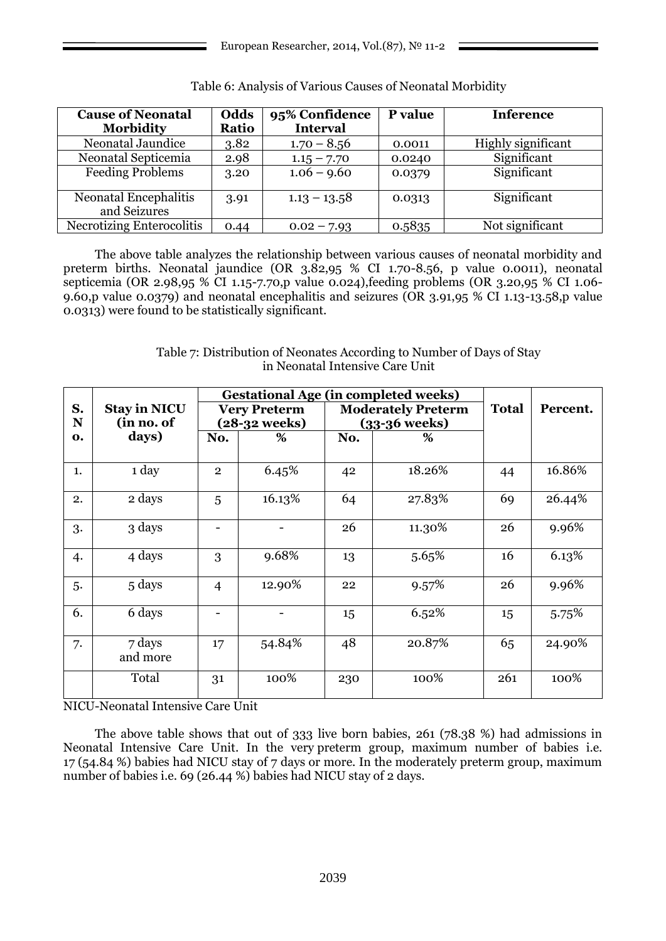| <b>Cause of Neonatal</b><br><b>Morbidity</b> | <b>Odds</b><br>Ratio | 95% Confidence<br><b>Interval</b> | P value | <b>Inference</b>   |
|----------------------------------------------|----------------------|-----------------------------------|---------|--------------------|
| Neonatal Jaundice                            | 3.82                 | $1.70 - 8.56$                     | 0.0011  | Highly significant |
| Neonatal Septicemia                          | 2.98                 | $1.15 - 7.70$                     | 0.0240  | Significant        |
| <b>Feeding Problems</b>                      | 3.20                 | $1.06 - 9.60$                     | 0.0379  | Significant        |
| <b>Neonatal Encephalitis</b><br>and Seizures | 3.91                 | $1.13 - 13.58$                    | 0.0313  | Significant        |
| Necrotizing Enterocolitis                    | 0.44                 | $0.02 - 7.93$                     | 0.5835  | Not significant    |

| Table 6: Analysis of Various Causes of Neonatal Morbidity |  |  |
|-----------------------------------------------------------|--|--|
|                                                           |  |  |

The above table analyzes the relationship between various causes of neonatal morbidity and preterm births. Neonatal jaundice  $(OR_3, 8.82, 9.5 %CI_{1.70} - 8.56, p$  value 0.0011), neonatal septicemia (OR 2.98,95 % CI 1.15-7.70,p value 0.024),feeding problems (OR 3.20,95 % CI 1.06-9.60,p value 0.0379) and neonatal encephalitis and seizures (OR 3.91,95 % CI 1.13-13.58,p value 0.0313) were found to be statistically significant.

> Table 7: Distribution of Neonates According to Number of Days of Stay in Neonatal Intensive Care Unit

|    |                     | <b>Gestational Age (in completed weeks)</b> |                 |                           |                 |              |          |
|----|---------------------|---------------------------------------------|-----------------|---------------------------|-----------------|--------------|----------|
| S. | <b>Stay in NICU</b> | <b>Very Preterm</b>                         |                 | <b>Moderately Preterm</b> |                 | <b>Total</b> | Percent. |
| N  | (in no. of          |                                             | $(28-32$ weeks) |                           | $(33-36$ weeks) |              |          |
| 0. | days)               | No.                                         | %               | No.                       | %               |              |          |
|    |                     |                                             |                 |                           |                 |              |          |
| 1. | 1 day               | $\overline{2}$                              | 6.45%           | 42                        | 18.26%          | 44           | 16.86%   |
| 2. | 2 days              | 5                                           | 16.13%          | 64                        | 27.83%          | 69           | 26.44%   |
| 3. | 3 days              | -                                           |                 | 26                        | 11.30%          | 26           | 9.96%    |
| 4. | 4 days              | 3                                           | 9.68%           | 13                        | 5.65%           | 16           | 6.13%    |
| 5. | 5 days              | $\overline{4}$                              | 12.90%          | 22                        | 9.57%           | 26           | 9.96%    |
| 6. | 6 days              |                                             |                 | 15                        | 6.52%           | 15           | 5.75%    |
| 7. | 7 days<br>and more  | 17                                          | 54.84%          | 48                        | 20.87%          | 65           | 24.90%   |
|    | Total               | 31                                          | 100%            | 230                       | 100%            | 261          | 100%     |

NICU-Neonatal Intensive Care Unit

The above table shows that out of 333 live born babies, 261 (78.38 %) had admissions in Neonatal Intensive Care Unit. In the very preterm group, maximum number of babies i.e. 17 (54.84 %) babies had NICU stay of 7 days or more. In the moderately preterm group, maximum number of babies i.e. 69 (26.44 %) babies had NICU stay of 2 days.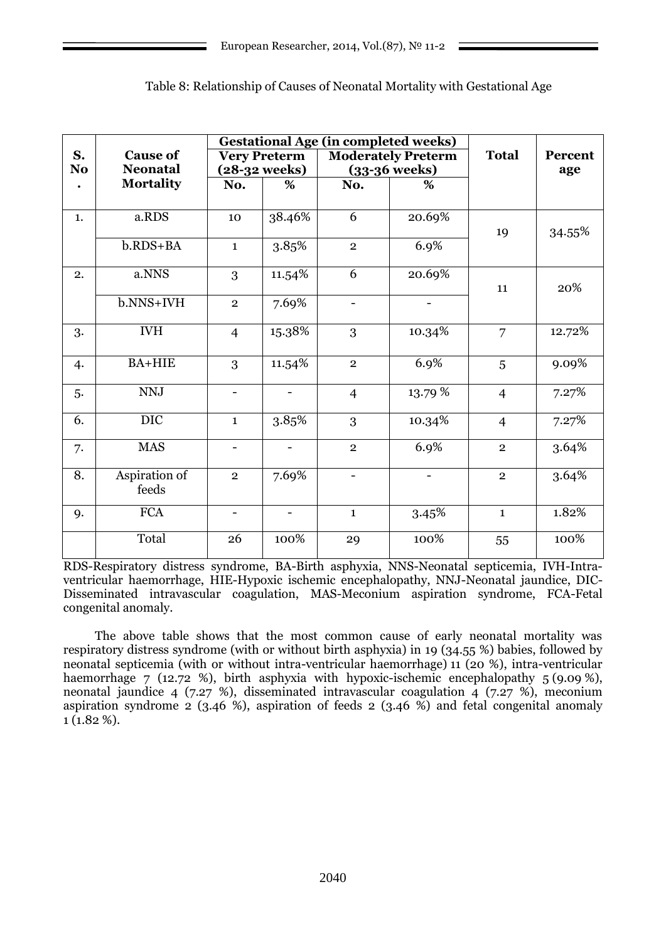|           |                        | <b>Gestational Age (in completed weeks)</b> |                          |                          |                           |                |                |
|-----------|------------------------|---------------------------------------------|--------------------------|--------------------------|---------------------------|----------------|----------------|
| S.        | <b>Cause of</b>        |                                             | <b>Very Preterm</b>      |                          | <b>Moderately Preterm</b> |                | <b>Percent</b> |
| No        | <b>Neonatal</b>        |                                             | $(28-32$ weeks)          |                          | $(33-36$ weeks)           |                | age            |
| $\bullet$ | <b>Mortality</b>       | No.                                         | %                        | No.                      | %                         |                |                |
|           |                        |                                             |                          |                          |                           |                |                |
| 1.        | a.RDS                  | 10                                          | 38.46%                   | 6                        | 20.69%                    | 19             | 34.55%         |
|           | $b.RDS+BA$             | $\mathbf{1}$                                | 3.85%                    | $\mathbf{2}$             | 6.9%                      |                |                |
| 2.        | a.NNS                  | 3                                           | 11.54%                   | 6                        | 20.69%                    | 11             | 20%            |
|           | b.NNS+IVH              | $\overline{2}$                              | 7.69%                    |                          |                           |                |                |
| 3.        | <b>IVH</b>             | $\overline{4}$                              | 15.38%                   | 3                        | 10.34%                    | $\overline{7}$ | 12.72%         |
| 4.        | BA+HIE                 | 3                                           | 11.54%                   | $\overline{2}$           | 6.9%                      | 5              | 9.09%          |
| 5.        | <b>NNJ</b>             |                                             | $\overline{\phantom{0}}$ | $\overline{4}$           | 13.79 %                   | $\overline{4}$ | 7.27%          |
| 6.        | <b>DIC</b>             | $\mathbf{1}$                                | 3.85%                    | 3                        | 10.34%                    | $\overline{4}$ | 7.27%          |
| 7.        | <b>MAS</b>             | $\overline{a}$                              |                          | $\mathbf{2}$             | 6.9%                      | $\mathbf{2}$   | 3.64%          |
| 8.        | Aspiration of<br>feeds | $\overline{2}$                              | 7.69%                    | $\overline{\phantom{0}}$ | $\overline{\phantom{0}}$  | $\overline{2}$ | 3.64%          |
| 9.        | <b>FCA</b>             | $\overline{\phantom{a}}$                    | Ξ.                       | $\mathbf{1}$             | 3.45%                     | $\mathbf{1}$   | 1.82%          |
|           | Total                  | 26                                          | 100%                     | 29                       | 100%                      | 55             | 100%           |

Table 8: Relationship of Causes of Neonatal Mortality with Gestational Age

RDS-Respiratory distress syndrome, BA-Birth asphyxia, NNS-Neonatal septicemia, IVH-Intraventricular haemorrhage, HIE-Hypoxic ischemic encephalopathy, NNJ-Neonatal jaundice, DIC-Disseminated intravascular coagulation, MAS-Meconium aspiration syndrome, FCA-Fetal congenital anomaly.

The above table shows that the most common cause of early neonatal mortality was respiratory distress syndrome (with or without birth asphyxia) in 19 (34.55 %) babies, followed by neonatal septicemia (with or without intra-ventricular haemorrhage) 11 (20 %), intra-ventricular haemorrhage 7 (12.72 %), birth asphyxia with hypoxic-ischemic encephalopathy 5 (9.09 %), neonatal jaundice 4 (7.27 %), disseminated intravascular coagulation  $\frac{1}{4}$  (7.27 %), meconium aspiration syndrome 2 (3.46 %), aspiration of feeds 2 (3.46 %) and fetal congenital anomaly 1 (1.82 %).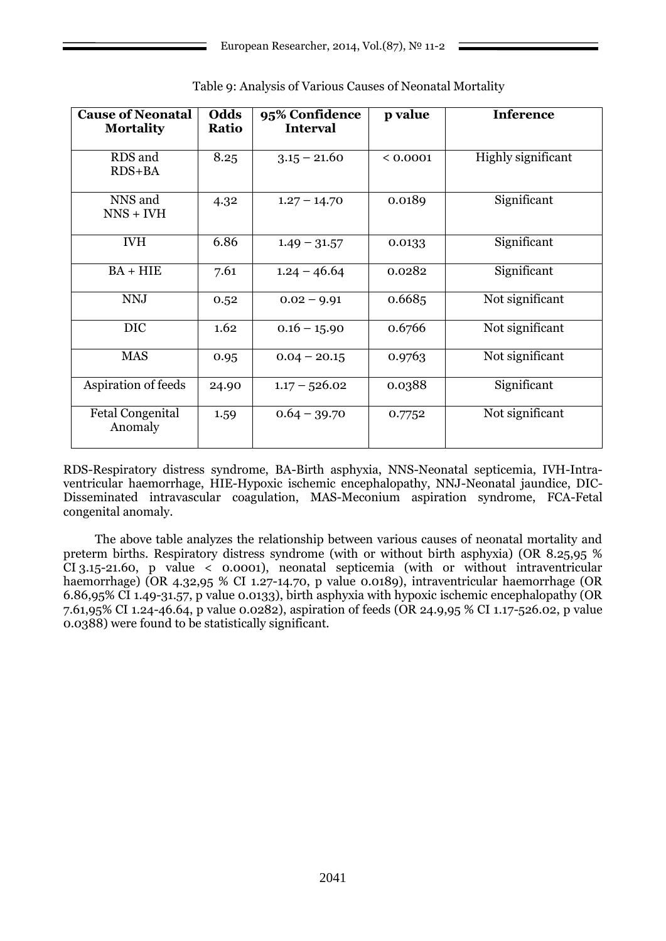| <b>Cause of Neonatal</b><br><b>Mortality</b> | <b>Odds</b><br>Ratio | 95% Confidence<br><b>Interval</b> | p value  | <b>Inference</b>   |
|----------------------------------------------|----------------------|-----------------------------------|----------|--------------------|
| RDS and<br>$RDS+BA$                          | 8.25                 | $3.15 - 21.60$                    | < 0.0001 | Highly significant |
| NNS and<br>$NNS + IVH$                       | 4.32                 | $1.27 - 14.70$                    | 0.0189   | Significant        |
| <b>IVH</b>                                   | 6.86                 | $1.49 - 31.57$                    | 0.0133   | Significant        |
| $BA + HIE$                                   | 7.61                 | $1.24 - 46.64$                    | 0.0282   | Significant        |
| <b>NNJ</b>                                   | 0.52                 | $0.02 - 9.91$                     | 0.6685   | Not significant    |
| <b>DIC</b>                                   | 1.62                 | $0.16 - 15.90$                    | 0.6766   | Not significant    |
| <b>MAS</b>                                   | 0.95                 | $0.04 - 20.15$                    | 0.9763   | Not significant    |
| Aspiration of feeds                          | 24.90                | $1.17 - 526.02$                   | 0.0388   | Significant        |
| <b>Fetal Congenital</b><br>Anomaly           | 1.59                 | $0.64 - 39.70$                    | 0.7752   | Not significant    |

Table 9: Analysis of Various Causes of Neonatal Mortality

RDS-Respiratory distress syndrome, BA-Birth asphyxia, NNS-Neonatal septicemia, IVH-Intraventricular haemorrhage, HIE-Hypoxic ischemic encephalopathy, NNJ-Neonatal jaundice, DIC-Disseminated intravascular coagulation, MAS-Meconium aspiration syndrome, FCA-Fetal congenital anomaly.

The above table analyzes the relationship between various causes of neonatal mortality and preterm births. Respiratory distress syndrome (with or without birth asphyxia) (OR 8.25,95 % CI 3.15-21.60, p value < 0.0001), neonatal septicemia (with or without intraventricular haemorrhage) (OR 4.32,95 % CI 1.27-14.70, p value 0.0189), intraventricular haemorrhage (OR 6.86,95% CI 1.49-31.57, p value 0.0133), birth asphyxia with hypoxic ischemic encephalopathy (OR 7.61,95% CI 1.24-46.64, p value 0.0282), aspiration of feeds (OR 24.9,95 % CI 1.17-526.02, p value 0.0388) were found to be statistically significant.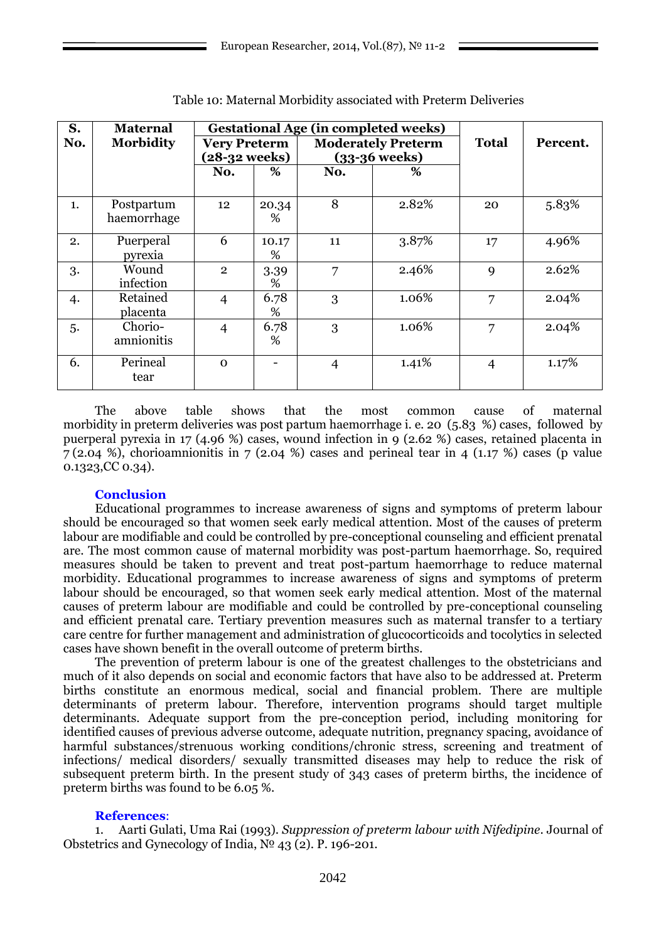| S.  | <b>Maternal</b>           |                                      | <b>Gestational Age (in completed weeks)</b> |                |                                              |                |          |
|-----|---------------------------|--------------------------------------|---------------------------------------------|----------------|----------------------------------------------|----------------|----------|
| No. | <b>Morbidity</b>          | <b>Very Preterm</b><br>(28-32 weeks) |                                             |                | <b>Moderately Preterm</b><br>$(33-36$ weeks) | <b>Total</b>   | Percent. |
|     |                           | No.                                  | $\%$                                        | No.            | %                                            |                |          |
| 1.  | Postpartum<br>haemorrhage | 12                                   | 20.34<br>%                                  | 8              | 2.82%                                        | 20             | 5.83%    |
| 2.  | Puerperal<br>pyrexia      | 6                                    | 10.17<br>%                                  | 11             | 3.87%                                        | 17             | 4.96%    |
| 3.  | Wound<br>infection        | $\overline{2}$                       | 3.39<br>%                                   | 7              | 2.46%                                        | 9              | 2.62%    |
| 4.  | Retained<br>placenta      | $\overline{4}$                       | 6.78<br>%                                   | 3              | 1.06%                                        | 7              | 2.04%    |
| 5.  | Chorio-<br>amnionitis     | $\overline{4}$                       | 6.78<br>%                                   | 3              | 1.06%                                        | 7              | 2.04%    |
| 6.  | Perineal<br>tear          | $\Omega$                             |                                             | $\overline{4}$ | 1.41%                                        | $\overline{4}$ | 1.17%    |

Table 10: Maternal Morbidity associated with Preterm Deliveries

The above table shows that the most common cause of maternal morbidity in preterm deliveries was post partum haemorrhage i. e. 20 (5.83 %) cases, followed by puerperal pyrexia in 17 (4.96 %) cases, wound infection in 9 (2.62 %) cases, retained placenta in  $7(2.04 \%)$ , chorioamnionitis in 7 (2.04 %) cases and perineal tear in 4 (1.17 %) cases (p value 0.1323,CC 0.34).

#### **Conclusion**

Educational programmes to increase awareness of signs and symptoms of preterm labour should be encouraged so that women seek early medical attention. Most of the causes of preterm labour are modifiable and could be controlled by pre-conceptional counseling and efficient prenatal are. The most common cause of maternal morbidity was post-partum haemorrhage. So, required measures should be taken to prevent and treat post-partum haemorrhage to reduce maternal morbidity. Educational programmes to increase awareness of signs and symptoms of preterm labour should be encouraged, so that women seek early medical attention. Most of the maternal causes of preterm labour are modifiable and could be controlled by pre-conceptional counseling and efficient prenatal care. Tertiary prevention measures such as maternal transfer to a tertiary care centre for further management and administration of glucocorticoids and tocolytics in selected cases have shown benefit in the overall outcome of preterm births.

The prevention of preterm labour is one of the greatest challenges to the obstetricians and much of it also depends on social and economic factors that have also to be addressed at. Preterm births constitute an enormous medical, social and financial problem. There are multiple determinants of preterm labour. Therefore, intervention programs should target multiple determinants. Adequate support from the pre-conception period, including monitoring for identified causes of previous adverse outcome, adequate nutrition, pregnancy spacing, avoidance of harmful substances/strenuous working conditions/chronic stress, screening and treatment of infections/ medical disorders/ sexually transmitted diseases may help to reduce the risk of subsequent preterm birth. In the present study of 343 cases of preterm births, the incidence of preterm births was found to be 6.05 %.

#### **References**:

1. Aarti Gulati, Uma Rai (1993). *Suppression of preterm labour with Nifedipine*. Journal of Obstetrics and Gynecology of India, № 43 (2). P. 196-201.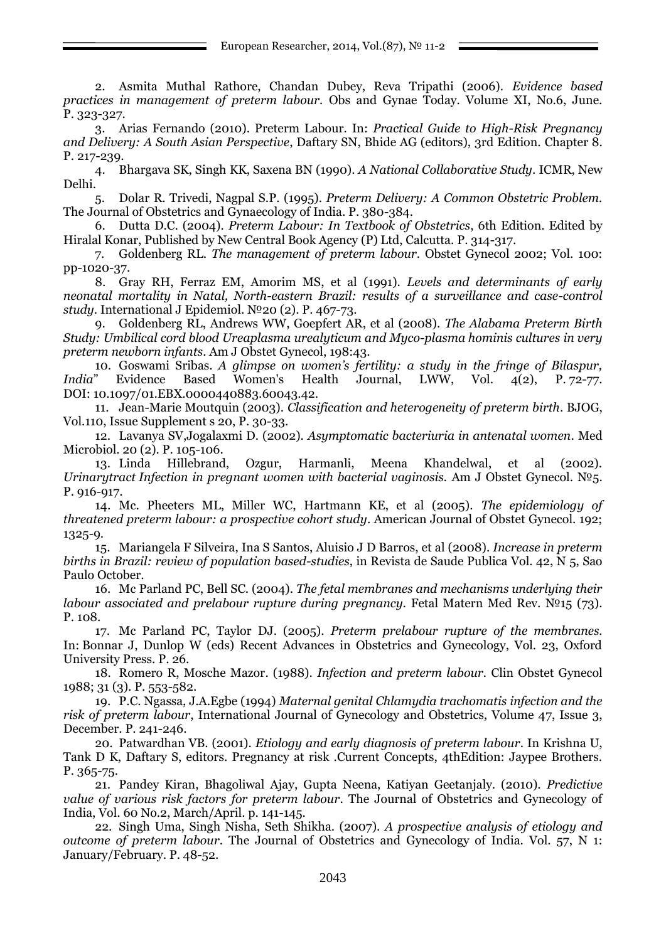2. Asmita Muthal Rathore, Chandan Dubey, Reva Tripathi (2006). *Evidence based practices in management of preterm labour.* Obs and Gynae Today. Volume XI, No.6, June. Р. 323-327.

3. Arias Fernando (2010). Preterm Labour. In: *Practical Guide to High-Risk Pregnancy and Delivery: A South Asian Perspective*, Daftary SN, Bhide AG (editors), 3rd Edition. Chapter 8. Р. 217-239.

4. Bhargava SK, Singh KK, Saxena BN (1990). *A National Collaborative Study*. ICMR, New Delhi.

5. Dolar R. Trivedi, Nagpal S.P. (1995). *Preterm Delivery: A Common Obstetric Problem.* The Journal of Obstetrics and Gynaecology of India. P. 380-384.

6. Dutta D.C. (2004). *Preterm Labour: In Textbook of Obstetrics*, 6th Edition. Edited by Hiralal Konar, Published by New Central Book Agency (P) Ltd, Calcutta. P. 314-317.

7. Goldenberg RL. *The management of preterm labour*. Obstet Gynecol 2002; Vol. 100: pp-1020-37.

8. Gray RH, Ferraz EM, Amorim MS, et al (1991). *Levels and determinants of early neonatal mortality in Natal, North-eastern Brazil: results of a surveillance and case-control study*. International J Epidemiol. №20 (2). P. 467-73.

9. Goldenberg RL, Andrews WW, Goepfert AR, et al (2008). *The Alabama Preterm Birth Study: Umbilical cord blood Ureaplasma urealyticum and Myco-plasma hominis cultures in very preterm newborn infants*. Am J Obstet Gynecol, 198:43.

10. Goswami Sribas. *A glimpse on women's fertility: a study in the fringe of Bilaspur, India*" Evidence Based Women's Health Journal, LWW, Vol. 4(2), Р. 72-77. DOI: 10.1097/01.EBX.0000440883.60043.42.

11. Jean-Marie Moutquin (2003). *Classification and heterogeneity of preterm birth*. BJOG, Vol.110, Issue Supplement s 20, P. 30-33.

12. Lavanya SV,Jogalaxmi D. (2002). *Asymptomatic bacteriuria in antenatal women*. Med Microbiol. 20 (2). P. 105-106.

13. Linda Hillebrand, Ozgur, Harmanli, Meena Khandelwal, et al (2002). *Urinarytract Infection in pregnant women with bacterial vaginosis.* Am J Obstet Gynecol. №5. P. 916-917.

14. Mc. Pheeters ML, Miller WC, Hartmann KE, et al (2005). *The epidemiology of threatened preterm labour: a prospective cohort study*. American Journal of Obstet Gynecol. 192; 1325-9.

15. Mariangela F Silveira, Ina S Santos, Aluisio J D Barros, et al (2008). *Increase in preterm births in Brazil: review of population based-studies*, in Revista de Saude Publica Vol. 42, N 5, Sao Paulo October.

16. Mc Parland PC, Bell SC. (2004). *The fetal membranes and mechanisms underlying their labour associated and prelabour rupture during pregnancy.* Fetal Matern Med Rev. №15 (73). Р. 108.

17. Mc Parland PC, Taylor DJ. (2005). *Preterm prelabour rupture of the membranes.* In: Bonnar J, Dunlop W (eds) Recent Advances in Obstetrics and Gynecology, Vol. 23, Oxford University Press. P. 26.

18. Romero R, Mosche Mazor. (1988). *Infection and preterm labour.* Clin Obstet Gynecol 1988; 31 (3). P. 553-582.

19. P.C. Ngassa, J.A.Egbe (1994) *Maternal genital Chlamydia trachomatis infection and the risk of preterm labour*, International Journal of Gynecology and Obstetrics, Volume 47, Issue 3, December. P. 241-246.

20. Patwardhan VB. (2001). *Etiology and early diagnosis of preterm labour*. In Krishna U, Tank D K, Daftary S, editors. Pregnancy at risk .Current Concepts, 4thEdition: Jaypee Brothers. P. 365-75.

21. Pandey Kiran, Bhagoliwal Ajay, Gupta Neena, Katiyan Geetanjaly. (2010). *Predictive value of various risk factors for preterm labour*. The Journal of Obstetrics and Gynecology of India, Vol. 60 No.2, March/April. p. 141-145.

22. Singh Uma, Singh Nisha, Seth Shikha. (2007). *A prospective analysis of etiology and outcome of preterm labour*. The Journal of Obstetrics and Gynecology of India. Vol. 57, N 1: January/February. P. 48-52.